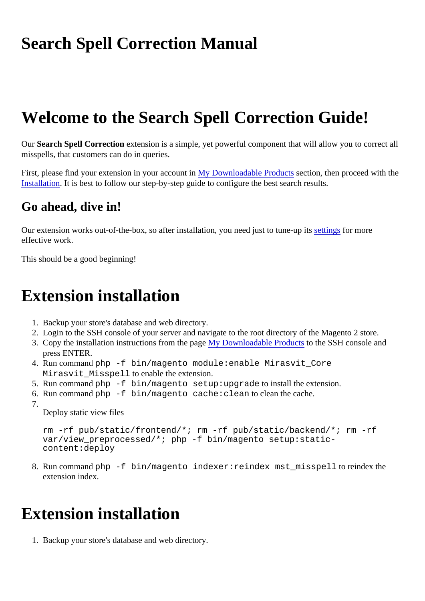# Search Spell Correction Manual

# Welcome to the Search Spell Correction Guide!

Our Search Spell Correctionextension is a simple, yet powerful component that will allow you to correct all misspells, that customers can do in queries.

First,please find your extension in your accountly Downloadable Products ection, then proceed with the Installation. It is best to follow our step-by-step guide to configure the best search results.

# Go ahead, dive in!

Our extension works out-of-the-box, so after installation, you need just to tunes utings for more effective work.

This should be a good beginning!

# Extension installation

- 1. Backup your store's database and web directory.
- 2. Login to the SSH console of your server and navigate to the root directory of the Magento 2 store.
- 3. Copy the installation instructions from the page Downloadable Products the SSH console and press ENTER.
- 4. Run commanothp -f bin/magento module: enable Mirasvit Core Mirasvit Misspell to enable the extension.
- 5. Run commanoth p-f bin/magento setup:upgrade to install the extension.
- 6. Run commano hp -f bin/magento cache: clean to clean the cache.
- 
- 

7.

Deploy static view files

rm -rf pub/static/frontend/\*; rm -rf pub/static/backend/\*; rm -rf var/view\_preprocessed/\*; php -f bin/magento setup:staticcontent:deploy

8. Run commano hp -f bin/magento indexer: reindex mst\_misspell to reindex the extension index.

# Extension installation

1. Backup your store's database and web directory.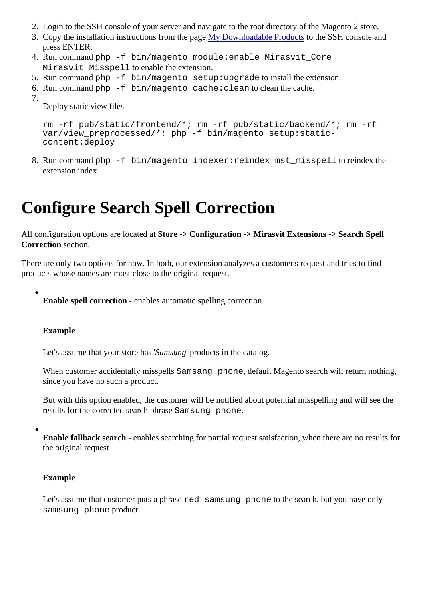- <span id="page-1-0"></span>2. Login to the SSH console of your server and navigate to the root directory of the Magento 2 store.
- 3. Copy the installation instructions from the page Downloadable Products the SSH console and press ENTER.
- 4. Run commanothp -f bin/magento module: enable Mirasvit Core Mirasvit Misspell to enable the extension.
- 5. Run commanoth p-f bin/magento setup:upgrade to install the extension.

6. Run comman $\phi$ hp -f bin/magento cache: clean to clean the cache.

7. Deploy static view files

> rm -rf pub/static/frontend/\*; rm -rf pub/static/backend/\*; rm -rf var/view\_preprocessed/\*; php -f bin/magento setup:staticcontent:deploy

8. Run commano hp -f bin/magento indexer: reindex mst\_misspell to reindex the extension index.

# Configure Search Spell Correction

All configuration options are located Store -> Configuration -> Mirasvit Extensions -> Search Spell Correction section.

There are only two options for now. In both, our extension analyzes a customer's request and tries to find products whose names are most close to the original request.

Enable spell correction- enables automatic spelling correction.

#### Example

Let's assume that your store has misung products in the catalog.

When customer accidentally misspellamsang phone, default Magento search will return nothing, since you have no such a product.

But with this option enabled, the customer will be notified about potential misspelling and will see the results for the corrected search phrase sum phone.

Enable fallback search- enables searching for partial request satisfaction, when there are no results for the original request.

Example

Let's assume that customer puts a phred samsung phone to the search, but you have only samsung phone product.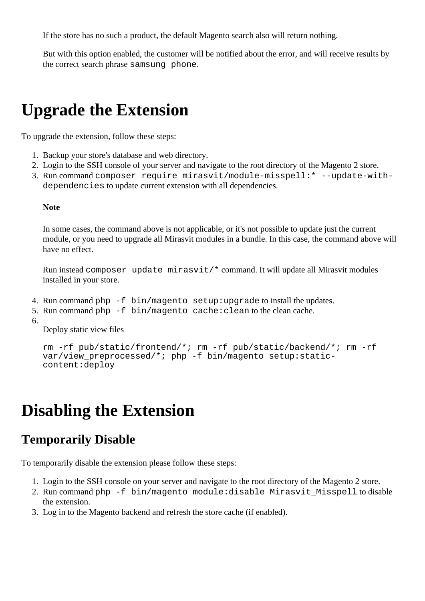If the store has no such a product, the default Magento search also will return nothing.

But with this option enabled, the customer will be notified about the error, and will receive results by the correct search phrase samsung phone.

# **Upgrade the Extension**

To upgrade the extension, follow these steps:

- 1. Backup your store's database and web directory.
- 2. Login to the SSH console of your server and navigate to the root directory of the Magento 2 store.
- 3. Run command composer require mirasvit/module-misspell:\* --update-withdependencies to update current extension with all dependencies.

#### **Note**

In some cases, the command above is not applicable, or it's not possible to update just the current module, or you need to upgrade all Mirasvit modules in a bundle. In this case, the command above will have no effect.

Run instead composer update mirasvit/\* command. It will update all Mirasvit modules installed in your store.

- 4. Run command php -f bin/magento setup:upgrade to install the updates.
- 5. Run command php -f bin/magento cache:clean to the clean cache.
- 6.

Deploy static view files

```
rm -rf pub/static/frontend/*; rm -rf pub/static/backend/*; rm -rf 
var/view_preprocessed/*; php -f bin/magento setup:static-
content:deploy
```
# **Disabling the Extension**

# **Temporarily Disable**

To temporarily disable the extension please follow these steps:

- 1. Login to the SSH console on your server and navigate to the root directory of the Magento 2 store.
- 2. Run command php -f bin/magento module:disable Mirasvit\_Misspell to disable the extension.
- 3. Log in to the Magento backend and refresh the store cache (if enabled).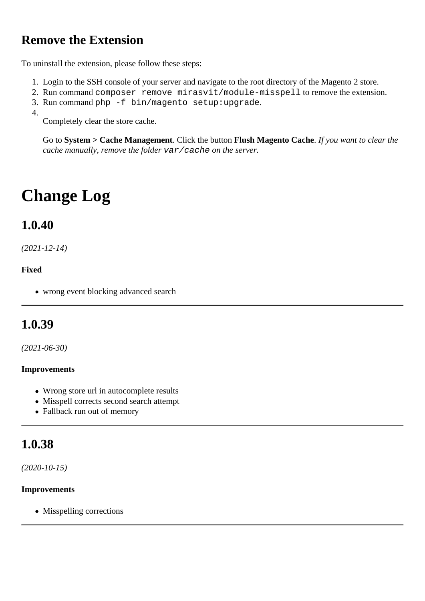# **Remove the Extension**

To uninstall the extension, please follow these steps:

- 1. Login to the SSH console of your server and navigate to the root directory of the Magento 2 store.
- 2. Run command composer remove mirasvit/module-misspell to remove the extension.
- 3. Run command php -f bin/magento setup:upgrade.
- 4.

Completely clear the store cache.

Go to **System > Cache Management**. Click the button **Flush Magento Cache**. *If you want to clear the cache manually, remove the folder* var/cache *on the server.*

# **Change Log**

# **1.0.40**

*(2021-12-14)*

#### **Fixed**

wrong event blocking advanced search

# **1.0.39**

*(2021-06-30)*

#### **Improvements**

- Wrong store url in autocomplete results
- Misspell corrects second search attempt
- Fallback run out of memory

# **1.0.38**

*(2020-10-15)*

#### **Improvements**

• Misspelling corrections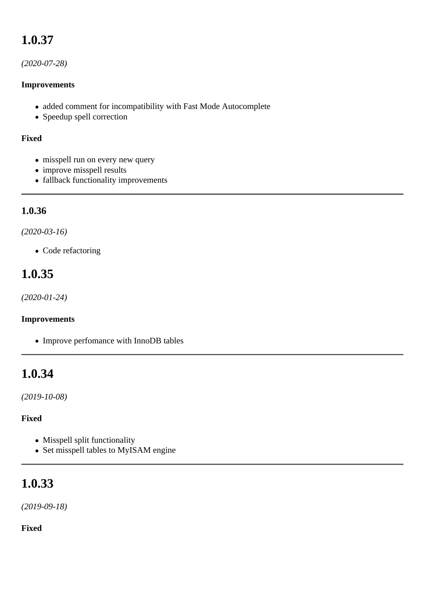# **1.0.37**

#### *(2020-07-28)*

#### **Improvements**

- added comment for incompatibility with Fast Mode Autocomplete
- Speedup spell correction

#### **Fixed**

- misspell run on every new query
- improve misspell results
- fallback functionality improvements

### **1.0.36**

#### *(2020-03-16)*

• Code refactoring

# **1.0.35**

*(2020-01-24)*

#### **Improvements**

• Improve perfomance with InnoDB tables

# **1.0.34**

*(2019-10-08)*

#### **Fixed**

- Misspell split functionality
- Set misspell tables to MyISAM engine

# **1.0.33**

*(2019-09-18)*

#### **Fixed**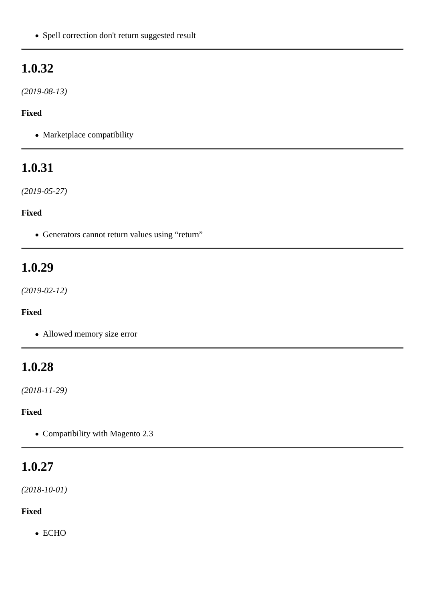• Spell correction don't return suggested result

# **1.0.32**

*(2019-08-13)*

#### **Fixed**

• Marketplace compatibility

# **1.0.31**

*(2019-05-27)*

### **Fixed**

Generators cannot return values using "return"

# **1.0.29**

*(2019-02-12)*

### **Fixed**

Allowed memory size error

# **1.0.28**

*(2018-11-29)*

### **Fixed**

• Compatibility with Magento 2.3

# **1.0.27**

*(2018-10-01)*

### **Fixed**

• ECHO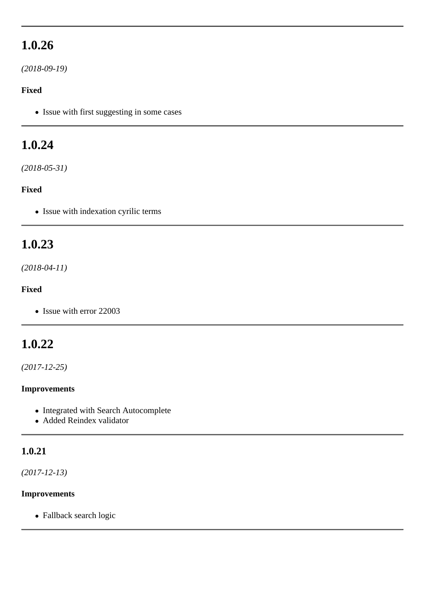# **1.0.26**

*(2018-09-19)*

#### **Fixed**

• Issue with first suggesting in some cases

# **1.0.24**

*(2018-05-31)*

#### **Fixed**

• Issue with indexation cyrilic terms

## **1.0.23**

### *(2018-04-11)*

#### **Fixed**

• Issue with error 22003

# **1.0.22**

*(2017-12-25)*

#### **Improvements**

- Integrated with Search Autocomplete
- Added Reindex validator

### **1.0.21**

*(2017-12-13)*

#### **Improvements**

Fallback search logic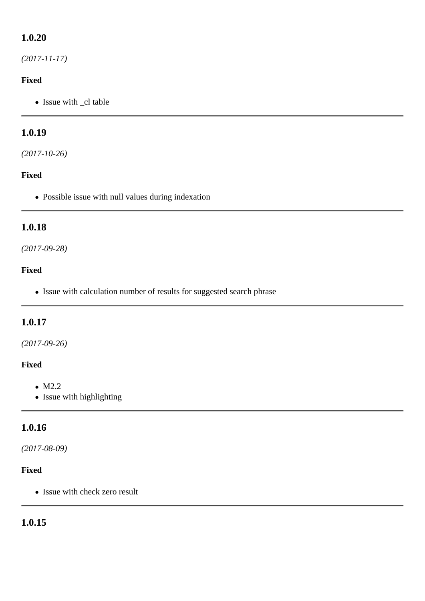## **1.0.20**

*(2017-11-17)*

#### **Fixed**

• Issue with \_cl table

## **1.0.19**

*(2017-10-26)*

#### **Fixed**

Possible issue with null values during indexation

### **1.0.18**

#### *(2017-09-28)*

#### **Fixed**

• Issue with calculation number of results for suggested search phrase

### **1.0.17**

#### *(2017-09-26)*

#### **Fixed**

- $\bullet$  M2.2
- Issue with highlighting

## **1.0.16**

#### *(2017-08-09)*

#### **Fixed**

• Issue with check zero result

## **1.0.15**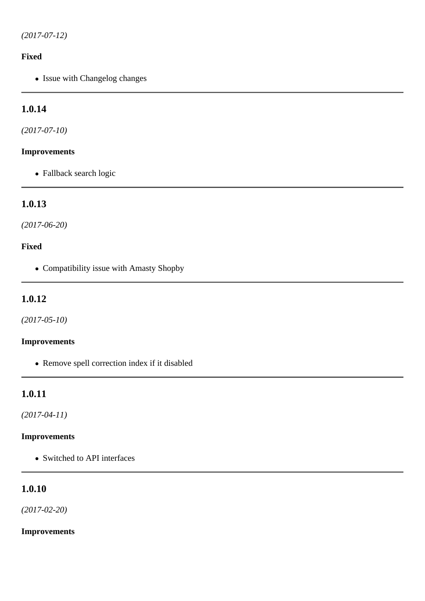#### **Fixed**

• Issue with Changelog changes

## **1.0.14**

*(2017-07-10)*

#### **Improvements**

Fallback search logic

### **1.0.13**

*(2017-06-20)*

#### **Fixed**

Compatibility issue with Amasty Shopby

### **1.0.12**

*(2017-05-10)*

#### **Improvements**

Remove spell correction index if it disabled

### **1.0.11**

*(2017-04-11)*

### **Improvements**

• Switched to API interfaces

### **1.0.10**

*(2017-02-20)*

#### **Improvements**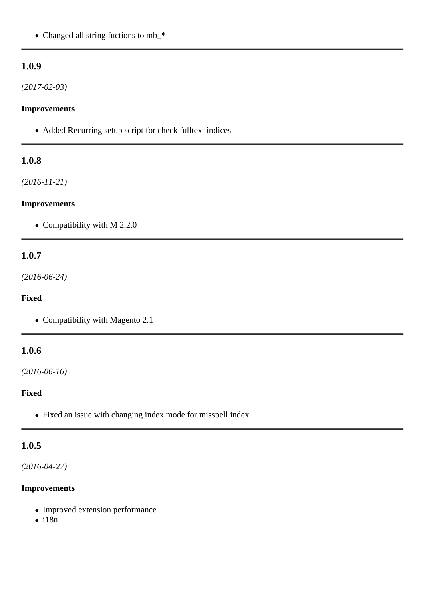• Changed all string fuctions to mb\_\*

#### **1.0.9**

*(2017-02-03)*

#### **Improvements**

Added Recurring setup script for check fulltext indices

#### **1.0.8**

*(2016-11-21)*

#### **Improvements**

• Compatibility with M 2.2.0

#### **1.0.7**

*(2016-06-24)*

#### **Fixed**

• Compatibility with Magento 2.1

#### **1.0.6**

*(2016-06-16)*

#### **Fixed**

Fixed an issue with changing index mode for misspell index

### **1.0.5**

*(2016-04-27)*

#### **Improvements**

- Improved extension performance
- $\bullet$  i18n